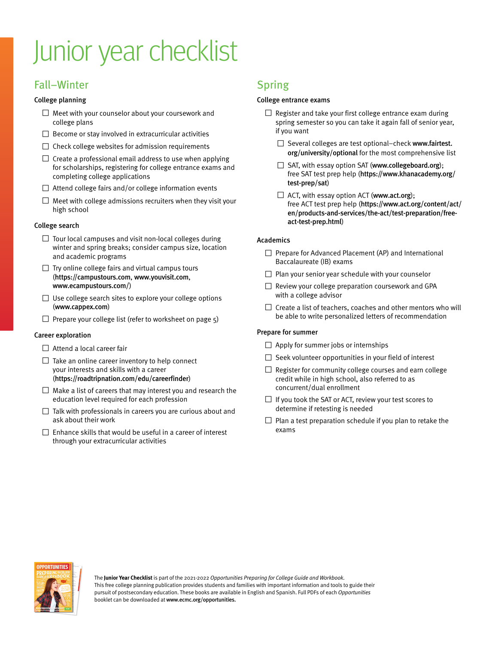# Junior year checklist

## Fall–Winter

#### College planning

- $\square$  Meet with your counselor about your coursework and college plans
- $\square$  Become or stay involved in extracurricular activities
- $\Box$  Check college websites for admission requirements
- $\square$  Create a professional email address to use when applying for scholarships, registering for college entrance exams and completing college applications
- $\Box$  Attend college fairs and/or college information events
- $\square$  Meet with college admissions recruiters when they visit your high school

#### College search

- $\Box$  Tour local campuses and visit non-local colleges during winter and spring breaks; consider campus size, location and academic programs
- $\square$  Try online college fairs and virtual campus tours (<https://campustours.com>, <www.youvisit.com>, <www.ecampustours.com/>)
- $\Box$  Use college search sites to explore your college options ([www.cappex.com](http://www.cappex.com))
- $\Box$  Prepare your college list (refer to worksheet on page 5)

#### Career exploration

- $\Box$  Attend a local career fair
- $\Box$  Take an online career inventory to help connect your interests and skills with a career (<https://roadtripnation.com/edu/careerfinder>)
- $\square$  Make a list of careers that may interest you and research the education level required for each profession
- $\square$  Talk with professionals in careers you are curious about and ask about their work
- $\Box$  Enhance skills that would be useful in a career of interest through your extracurricular activities

### Spring

#### College entrance exams

- $\Box$  Register and take your first college entrance exam during spring semester so you can take it again fall of senior year, if you want
	- □ Several colleges are test optional-check [www.fairtest.](http://www.fairtest.org/university/optional) [org/university/optional](http://www.fairtest.org/university/optional) for the most comprehensive list
	- □ SAT, with essay option SAT (<www.collegeboard.org>); free SAT test prep help ([https://www.khanacademy.org/](https://www.khanacademy.org/test-prep/sat) [test-prep/sat](https://www.khanacademy.org/test-prep/sat))
	- $\Box$  ACT, with essay option ACT ([www.act.org](http://www.act.org)); free ACT test prep help ([https://www.act.org/content/act/](https://www.act.org/content/act/en/products-and-services/the-act/test-preparation/free-act-test-prep.html) [en/products-and-services/the-act/test-preparation/free](https://www.act.org/content/act/en/products-and-services/the-act/test-preparation/free-act-test-prep.html)[act-test-prep.html](https://www.act.org/content/act/en/products-and-services/the-act/test-preparation/free-act-test-prep.html))

#### Academics

- □ Prepare for Advanced Placement (AP) and International Baccalaureate (IB) exams
- $\square$  Plan your senior year schedule with your counselor
- $\square$  Review your college preparation coursework and GPA with a college advisor
- $\square$  Create a list of teachers, coaches and other mentors who will be able to write personalized letters of recommendation

#### Prepare for summer

- $\Box$  Apply for summer jobs or internships
- $\Box$  Seek volunteer opportunities in your field of interest
- $\Box$  Register for community college courses and earn college credit while in high school, also referred to as concurrent/dual enrollment
- $\Box$  If you took the SAT or ACT, review your test scores to determine if retesting is needed
- $\square$  Plan a test preparation schedule if you plan to retake the exams



The **Junior Year Checklist** is part of the 2021-2022 Opportunities Preparing for College Guide and Workbook. This free college planning publication provides students and families with important information and tools to guide their pursuit of postsecondary education. These books are available in English and Spanish. Full PDFs of each Opportunities booklet can be downloaded at <www.ecmc.org/opportunities>.